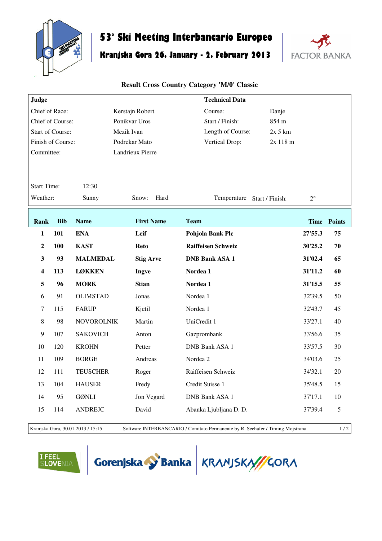

## **53° Ski Meeting Interbancario Europeo**

## **Kranjska Gora 26. January - 2. February 2013**



## **Result Cross Country Category 'M/0' Classic**

| Judge              |            |                   |                   | <b>Technical Data</b>       |             |             |             |
|--------------------|------------|-------------------|-------------------|-----------------------------|-------------|-------------|-------------|
| Chief of Race:     |            |                   | Kerstajn Robert   | Course:<br>Danje            |             |             |             |
| Chief of Course:   |            |                   | Ponikvar Uros     | Start / Finish:             | 854 m       |             |             |
| Start of Course:   |            |                   | Mezik Ivan        | Length of Course:           | $2x$ 5 $km$ |             |             |
| Finish of Course:  |            |                   | Podrekar Mato     | Vertical Drop:              | 2x 118 m    |             |             |
| Committee:         |            |                   | Landrieux Pierre  |                             |             |             |             |
|                    |            |                   |                   |                             |             |             |             |
|                    |            |                   |                   |                             |             |             |             |
| <b>Start Time:</b> |            | 12:30             |                   |                             |             |             |             |
| Weather:           |            | Sunny             | Hard<br>Snow:     | Temperature Start / Finish: |             | $2^{\circ}$ |             |
|                    |            |                   |                   |                             |             |             |             |
| Rank               | <b>Bib</b> | <b>Name</b>       | <b>First Name</b> | <b>Team</b>                 |             |             | Time Points |
| $\mathbf{1}$       | 101        | <b>ENA</b>        | Leif              | Pohjola Bank Plc            |             | 27'55.3     | 75          |
|                    |            |                   |                   |                             |             |             |             |
| $\boldsymbol{2}$   | 100        | <b>KAST</b>       | <b>Reto</b>       | <b>Raiffeisen Schweiz</b>   |             | 30'25.2     | 70          |
| 3                  | 93         | <b>MALMEDAL</b>   | <b>Stig Arve</b>  | <b>DNB Bank ASA 1</b>       |             | 31'02.4     | 65          |
| 4                  | 113        | <b>LØKKEN</b>     | Ingve             | Nordea 1                    |             | 31'11.2     | 60          |
| 5                  | 96         | <b>MORK</b>       | <b>Stian</b>      | Nordea 1                    |             | 31'15.5     | 55          |
| 6                  | 91         | <b>OLIMSTAD</b>   | Jonas             | Nordea 1                    |             | 32'39.5     | 50          |
| 7                  | 115        | <b>FARUP</b>      | Kjetil            | Nordea 1                    |             | 32'43.7     | 45          |
| $\,8\,$            | 98         | <b>NOVOROLNIK</b> | Martin            | UniCredit 1                 |             | 33'27.1     | 40          |
| 9                  | 107        | <b>SAKOVICH</b>   | Anton             | Gazprombank                 |             | 33'56.6     | 35          |
| 10                 | 120        | <b>KROHN</b>      | Petter            | <b>DNB Bank ASA 1</b>       |             | 33'57.5     | 30          |
| 11                 | 109        | <b>BORGE</b>      | Andreas           | Nordea 2                    |             | 34'03.6     | 25          |
| 12                 | 111        | <b>TEUSCHER</b>   | Roger             | Raiffeisen Schweiz          |             | 34'32.1     | 20          |
| 13                 | 104        | <b>HAUSER</b>     | Fredy             | Credit Suisse 1             |             | 35'48.5     | 15          |
| 14                 | 95         | <b>GØNLI</b>      | Jon Vegard        | <b>DNB Bank ASA 1</b>       |             | 37'17.1     | 10          |
| 15                 | 114        | <b>ANDREJC</b>    | David             | Abanka Ljubljana D. D.      |             | 37'39.4     | $\sqrt{5}$  |
|                    |            |                   |                   |                             |             |             |             |

Kranjska Gora, 30.01.2013 / 15:15 Software INTERBANCARIO / Comitato Permanente by R. Seehafer / Timing Mojstrana 1 / 2

FEEL<br>¡Lovenia